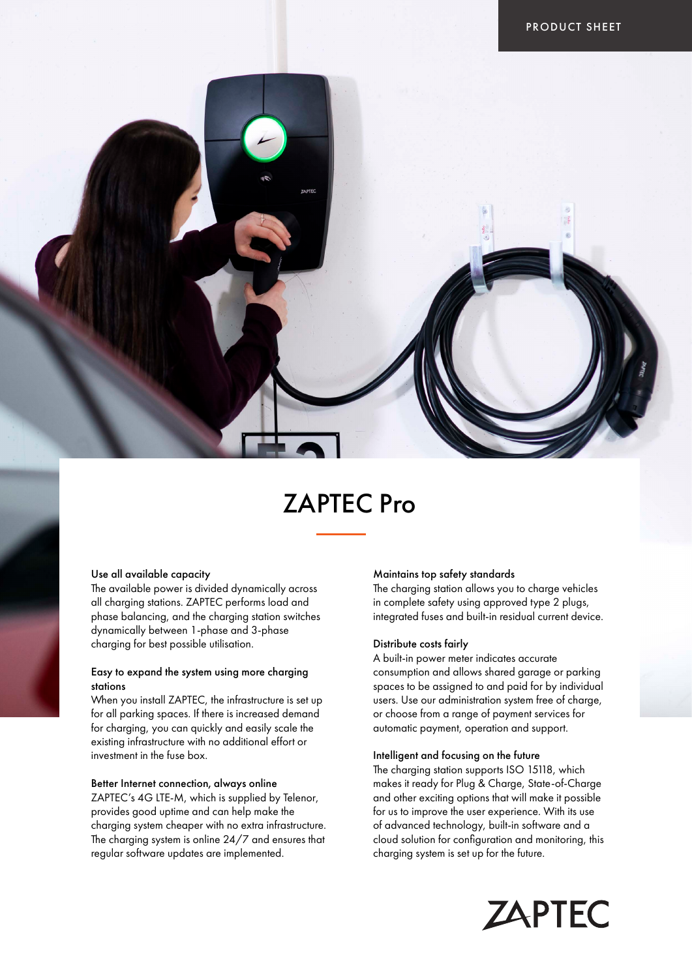# ZAPTEC Pro

### Use all available capacity

The available power is divided dynamically across all charging stations. ZAPTEC performs load and phase balancing, and the charging station switches dynamically between 1-phase and 3-phase charging for best possible utilisation.

# Easy to expand the system using more charging stations

When you install ZAPTEC, the infrastructure is set up for all parking spaces. If there is increased demand for charging, you can quickly and easily scale the existing infrastructure with no additional effort or investment in the fuse box.

# Better Internet connection, always online

ZAPTEC's 4G LTE-M, which is supplied by Telenor, provides good uptime and can help make the charging system cheaper with no extra infrastructure. The charging system is online 24/7 and ensures that regular software updates are implemented.

#### Maintains top safety standards

The charging station allows you to charge vehicles in complete safety using approved type 2 plugs, integrated fuses and built-in residual current device.

#### Distribute costs fairly

A built-in power meter indicates accurate consumption and allows shared garage or parking spaces to be assigned to and paid for by individual users. Use our administration system free of charge, or choose from a range of payment services for automatic payment, operation and support.

### Intelligent and focusing on the future

The charging station supports ISO 15118, which makes it ready for Plug & Charge, State-of-Charge and other exciting options that will make it possible for us to improve the user experience. With its use of advanced technology, built-in software and a cloud solution for configuration and monitoring, this charging system is set up for the future.